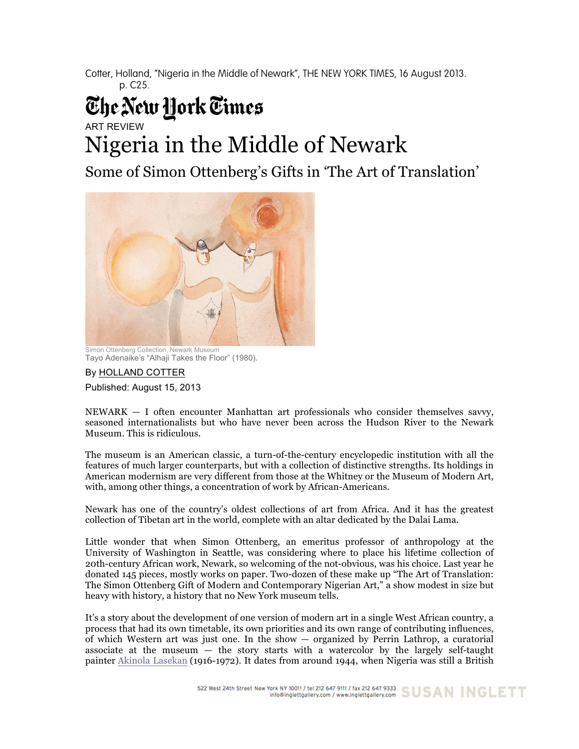Cotter, Holland, "Nigeria in the Middle of Newark", THE NEW YORK TIMES, 16 August 2013. p. C25.

## The New York Times

ART REVIEW

## Nigeria in the Middle of Newark

Some of Simon Ottenberg's Gifts in 'The Art of Translation'



Simon Ottenberg Collection, Newark Museum Tayo Adenaike's "Alhaji Takes the Floor" (1980).

By HOLLAND COTTER

Published: August 15, 2013

 $NEWARK - I$  often encounter Manhattan art professionals who consider themselves savvy, seasoned internationalists but who have never been across the Hudson River to the Newark Museum. This is ridiculous.

The museum is an American classic, a turn-of-the-century encyclopedic institution with all the features of much larger counterparts, but with a collection of distinctive strengths. Its holdings in American modernism are very different from those at the Whitney or the Museum of Modern Art, with, among other things, a concentration of work by African-Americans.

Newark has one of the country's oldest collections of art from Africa. And it has the greatest collection of Tibetan art in the world, complete with an altar dedicated by the Dalai Lama.

Little wonder that when Simon Ottenberg, an emeritus professor of anthropology at the University of Washington in Seattle, was considering where to place his lifetime collection of 20th-century African work, Newark, so welcoming of the not-obvious, was his choice. Last year he donated 145 pieces, mostly works on paper. Two-dozen of these make up "The Art of Translation: The Simon Ottenberg Gift of Modern and Contemporary Nigerian Art," a show modest in size but heavy with history, a history that no New York museum tells.

It's a story about the development of one version of modern art in a single West African country, a process that had its own timetable, its own priorities and its own range of contributing influences, of which Western art was just one. In the show — organized by Perrin Lathrop, a curatorial associate at the museum — the story starts with a watercolor by the largely self-taught painter Akinola Lasekan (1916-1972). It dates from around 1944, when Nigeria was still a British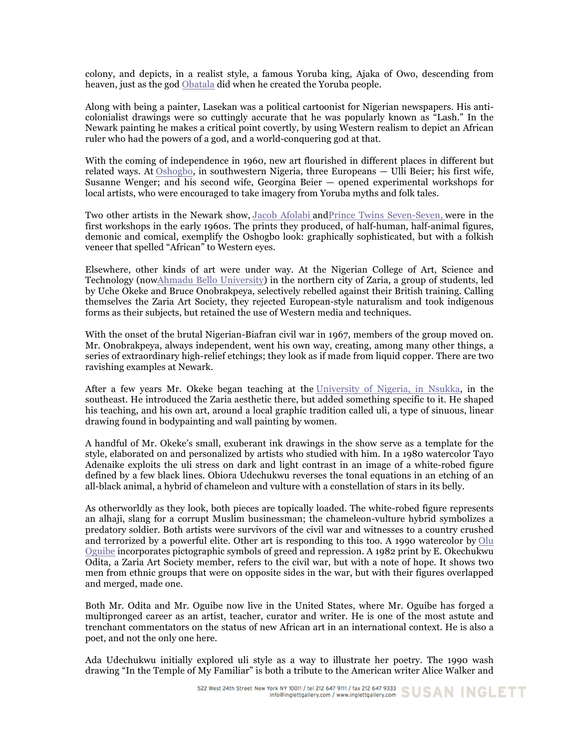colony, and depicts, in a realist style, a famous Yoruba king, Ajaka of Owo, descending from heaven, just as the god Obatala did when he created the Yoruba people.

Along with being a painter, Lasekan was a political cartoonist for Nigerian newspapers. His anticolonialist drawings were so cuttingly accurate that he was popularly known as "Lash." In the Newark painting he makes a critical point covertly, by using Western realism to depict an African ruler who had the powers of a god, and a world-conquering god at that.

With the coming of independence in 1960, new art flourished in different places in different but related ways. At Oshogbo, in southwestern Nigeria, three Europeans — Ulli Beier; his first wife, Susanne Wenger; and his second wife, Georgina Beier — opened experimental workshops for local artists, who were encouraged to take imagery from Yoruba myths and folk tales.

Two other artists in the Newark show, Jacob Afolabi andPrince Twins Seven-Seven, were in the first workshops in the early 1960s. The prints they produced, of half-human, half-animal figures, demonic and comical, exemplify the Oshogbo look: graphically sophisticated, but with a folkish veneer that spelled "African" to Western eyes.

Elsewhere, other kinds of art were under way. At the Nigerian College of Art, Science and Technology (nowAhmadu Bello University) in the northern city of Zaria, a group of students, led by Uche Okeke and Bruce Onobrakpeya, selectively rebelled against their British training. Calling themselves the Zaria Art Society, they rejected European-style naturalism and took indigenous forms as their subjects, but retained the use of Western media and techniques.

With the onset of the brutal Nigerian-Biafran civil war in 1967, members of the group moved on. Mr. Onobrakpeya, always independent, went his own way, creating, among many other things, a series of extraordinary high-relief etchings; they look as if made from liquid copper. There are two ravishing examples at Newark.

After a few years Mr. Okeke began teaching at the University of Nigeria, in Nsukka, in the southeast. He introduced the Zaria aesthetic there, but added something specific to it. He shaped his teaching, and his own art, around a local graphic tradition called uli, a type of sinuous, linear drawing found in bodypainting and wall painting by women.

A handful of Mr. Okeke's small, exuberant ink drawings in the show serve as a template for the style, elaborated on and personalized by artists who studied with him. In a 1980 watercolor Tayo Adenaike exploits the uli stress on dark and light contrast in an image of a white-robed figure defined by a few black lines. Obiora Udechukwu reverses the tonal equations in an etching of an all-black animal, a hybrid of chameleon and vulture with a constellation of stars in its belly.

As otherworldly as they look, both pieces are topically loaded. The white-robed figure represents an alhaji, slang for a corrupt Muslim businessman; the chameleon-vulture hybrid symbolizes a predatory soldier. Both artists were survivors of the civil war and witnesses to a country crushed and terrorized by a powerful elite. Other art is responding to this too. A 1990 watercolor by Olu Oguibe incorporates pictographic symbols of greed and repression. A 1982 print by E. Okechukwu Odita, a Zaria Art Society member, refers to the civil war, but with a note of hope. It shows two men from ethnic groups that were on opposite sides in the war, but with their figures overlapped and merged, made one.

Both Mr. Odita and Mr. Oguibe now live in the United States, where Mr. Oguibe has forged a multipronged career as an artist, teacher, curator and writer. He is one of the most astute and trenchant commentators on the status of new African art in an international context. He is also a poet, and not the only one here.

Ada Udechukwu initially explored uli style as a way to illustrate her poetry. The 1990 wash drawing "In the Temple of My Familiar" is both a tribute to the American writer Alice Walker and